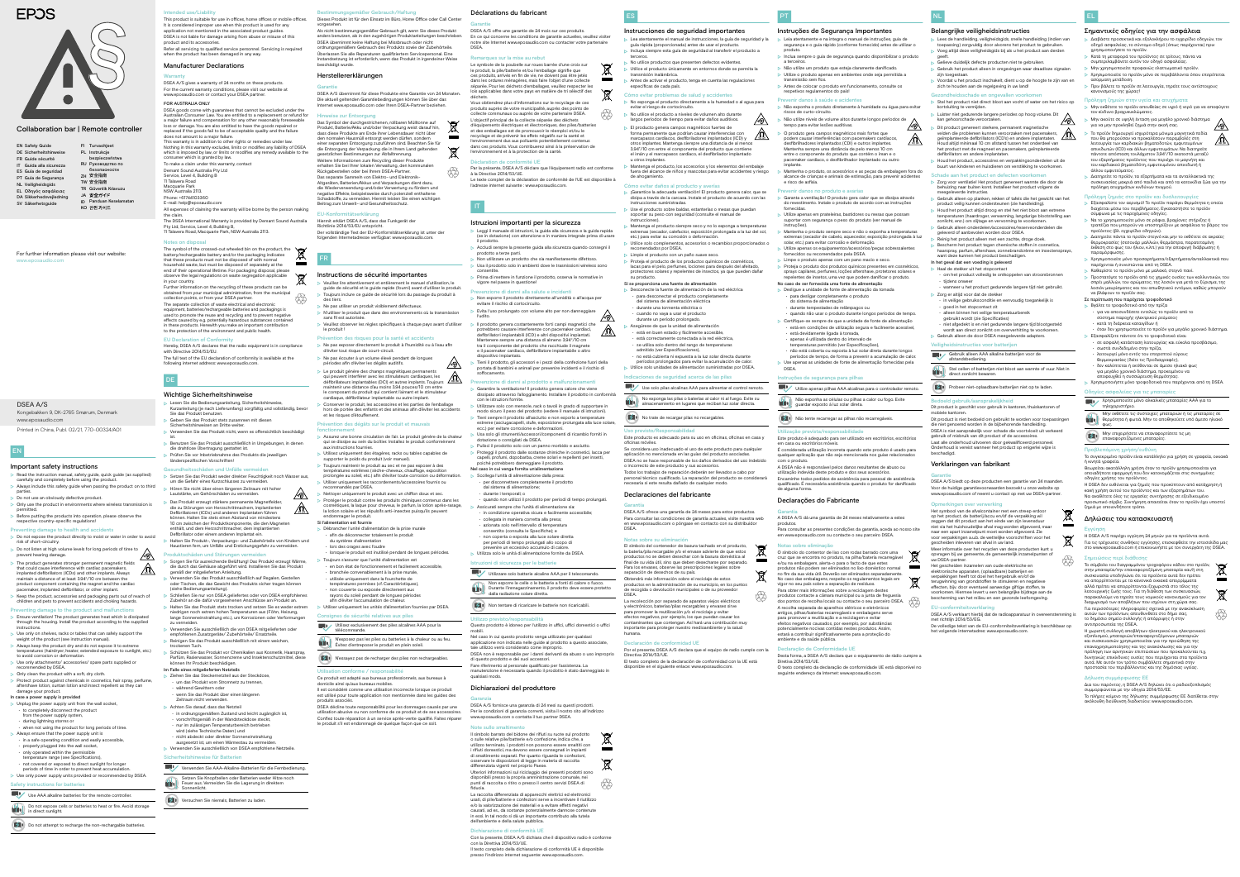#### **Bestimmungsfer Gebrauch/Haftung** Dieses Produkt ist für den Einsatz im Büro, Home Office oder Call Center

DSEA A/S übernimmt für diese Produkte eine Garantie von 24 Monaten. Die aktuell geltenden Garantiebedingungen können Sie über das Internet www.eposaudio.com oder Ihren DSEA-Partner beziehe

Als nicht bestimmungsgemäßer Gebrauch gilt, wenn Sie dieses Produkt anders benutzen, als in den zugehörigen Produktanleitungen beschrieben. DSEA übernimmt keine Haftung bei Missbrauch oder nicht ordnungsgemäßem Gebrauch des Produkts sowie der Zubehörteile. Überlassen Sie alle Reparaturen qualifiziertem Servicepersonal. Eine Instandsetzung ist erforderlich, wenn das Produkt in irgendeiner Weise

beschädigt wurde.

## Herstellererklärungen

#### Garantie

#### Hinweise zur Entsorgung

Hiermit erklärt DSEA A/S, dass das Funkgerät der Richtlinie 2014/53/EU entspricht. Der vollständige Text der EU-Konformitätserklärung ist unter der esse verfügbar: www.eposa

Prévention des risques pour la santé et accidents Ne pas exposer directement le produit à l'humidité ou à l'eau afin

Das Symbol der durchgestrichenen, rollbaren Mülltonne auf Produkt, Batterie/Akku und/oder Verpackung weist darauf hin, dass diese Produkte am Ende ihrer Lebensdauer nicht über den normalen Hausmüll entsorgt werden dürfen, sondern einer separaten Entsorgung zuzuführen sind. Beachten Sie für die Entsorgung der Verpackung die in Ihrem Land geltenden gesetzlichen Bestimmungen zur Abfalltrennung. Weitere Informationen zum Recycling dieser Produkte erhalten Sie bei Ihrer lokalen Verwaltung, den kommunalen Rückgabestellen oder bei Ihrem DSEA-Partner. Das separate Sammeln von Elektro- und Elektronik-Altgeräten, Batterien/Akkus und Verpackungen dient dazu, die Wiederverwendung und/oder Verwertung zu fördern und negative Effekte, beispielsweise durch potenziell enthaltene Schadstoffe, zu vermeiden. Hiermit leisten Sie einen wichtigen Beitrag zum Umwelt- und Gesundheitsschutz.

**tj** 

 $\forall$ 

 $\triangleright$  Le produit génère des champs magnétiques permanents<br>qui peuvent interférer avec les stimulateurs cardiaques les qui peuvent interférer avec les stimulateurs cardiaques, les défibrillateurs implantables (DCI) et autres implants. Toujours maintenir une distance d'au moins 3,94 pouces/10 cm entre le composant du produit qui contient l'aimant et le stimulateu cardiaque, défibrillateur implantable ou autre implant. Conserver le produit, les accessoires et les parties de l'emballage hors de portée des enfants et des animaux afin d'éviter les accidents

Prévention des dégâts sur le produit et mauvais

FR

Instructions de sécurité importantes

Ne pas utiliser un produit visiblement défectueux

 Veuillez lire attentivement et entièrement le manuel d'utilisation, le guide de sécurité et le guide rapide (fourni) avant d'utiliser le produit. Toujours inclure ce guide de sécurité lors du passage du produit à

 $\triangleright$  N'utiliser le produit que dans des environnements où la transmission

**imager le produit** Si l'alimentation est fournie

> du système d'alimentatio • lors des orages avec foudre

des tiers.

sans fil est autorisée.

Veuillez observer les règles spécifiques à chaque pays avant d'utiliser

le produit !

Ne pas écouter à un volume élevé pendant de longues

Il est considéré comme une utilisation incorrecte lorsque ce produit est utilisé pour toute application non mentionnée dans les guides de

périodes afin d'éviter les dégâts auditifs.

et les risques d'étouffement.

fonctionnement

 Assurez une bonne circulation de l'air. Le produit génère de la chaleur qui se dissipe au sein du boîtier. Installez le produit conformément

aux instructions fournies.

mmandés par DSEA

températures extrêmes (sèche-cheveux, chauffage, exposition prolongée au soleil, etc.) afin d'éviter toute corrosion ou déformation. Utiliser uniquement les raccordements/accessoires fournis ou

 Nettoyer uniquement le produit avec un chiffon doux et sec. Protéger le produit contre les produits chimiques contenus dans les cosmétiques, la laque pour cheveux, le parfum, la lotion après-rasage, la lotion solaire et les répulsifs anti-insectes puisqu'ils peuvent

lorsque le produit est inutilisé pendant de longues périodes.

- Do not expose cells or batteries to heat or fire. Avoid storage in direct sunlight.
- $\left( \frac{1}{2} \right)$  Do not attempt to recharge the non-rechargable batteries.

 Débrancher l'unité d'alimentation de la prise murale • afin de déconnecter totalement le produit

Toujours s'assurer que l'unité d'alimentation est

ignes de sécurité relatives aux pile Utilisez exclusivement des piles alcalines AAA pour la

• en bon état de fonctionnement et facilement accessible, • branchée convenablement à la prise murale, • utilisée uniquement dans la fourchette de températures permises (cf. Caractéristiques) • non couverte ou exposée directement aux rayons du soleil pendant de longues périodes afin d'éviter l'accumulation de chaleur.

Utiliser uniquement les unités d'alimentation fournies par DSEA.

Vous obtiendrez plus d'informations sur le recyclage de ces produits auprès de votre municipalité, auprès des points de collecte communaux ou auprès de votre partenaire DSEA. L'objectif principal de la collecte séparée des déchets d'équipements électriques et électroniques, des piles/batteries et des emballages est de promouvoir le réemploi et/ou le recyclage et de prévenir les effets négatifs sur la santé et l'environnement dus aux polluants potentiellement contenus dans ces produits. Vous contribuerez ainsi à la préservation de lentent et à la protection de la sante

télécommande.

N'exposez pas les piles ou batteries à la chaleur ou au feu.

N'essayez pas de recharger des piles non rechargeables

Évitez d'entreposer le produit en plein soleil.

Utilisation conforme / responsabilité

Ce produit est adapté aux bureaux professionnels, aux bureaux à

domicile ainsi qu'aux bureaux mobiles.

produits associés.

éviter tout risque de court-circuit

▶ Non utilizzare un prodotto che sia manifestamente difettoso. Usa il prodotto solo in ambienti dove le trasmissioni wireless sono

ione di danni alla salute e inci

**ty** 

 $\mathbb{A}$ 

 $\sim$ 

DSEA décline toute responsabilité pour les dommages causés par une utilisation abusive ou non conforme de ce produit et de ses accessoires. Confiez toute réparation à un service après-vente qualifié. Faites réparer le produit s'il est endommagé de quelque façon que ce soit.

### EN

#### Important safety instructions

venzione di danni al prodotto e malfunzionamenti Garantire la ventilazione! Il prodotto genera calore che viene dissipato attraverso l'alloggiamento. Installare il prodotto in conformità

piché potrebbero danneggiare il prodotte Nel caso in cui venga fornita un'alimentazione Scollega l'unità di alimentazione dalla presa: • per disconnettere completamente il prodotto

Nel caso in cui questo prodotto venga utilizzato per qualsias applicazione non indicata nelle guide al prodotto a questo associate,

- Read the instruction manual, safety guide, quick guide (as supplied) carefully and completely before using the product. Always include this safety guide when passing the product on to third
- parties. **Do not use an obviously defective product.**
- Only use the product in environments where wireless transmission is
- permitted. Before putting the products into operation, please observe the
- respective country-specific regulations!
- ing damage to health and accidents Do not expose the product directly to moist or water in order to avoid risk of short-circuitry.
- Do not listen at high volume levels for long periods of time to prevent hearing damage. prevent hearing damage.
- The product generates stronger permanent magnetic fields that could cause interference with cardiac pacemakers,  $\sqrt{0}$ implanted defibrillators (ICDs) and other implants. Always maintain a distance of at least 3.94"/10 cm between the product component containing the magnet and the cardiac pacemaker, implanted defibrillator, or other implant.
- Keep the product, accessories and packaging parts out of reach of children and pets to prevent accidents and choking hazards.
- Preventing damage to the product and m  $\triangleright$  Ensure ventilation! The product generates heat which is dissipated rough the housing. Install the product according to the supplied
- instructions. Use only on shelves, racks or tables that can safely support the
- weight of the product (see instruction manual). Always keep the product dry and do not expose it to extreme
- temperatures (hairdryer, heater, extended exposure to sunlight, etc.) to avoid corrosion or deformation.
- Use only attach
- recommended by DSEA.  $\triangleright$  Only clean the product with a soft, dry cloth.
- Protect product against chemicals in cosmetics, hair spray, perfume, aftershave lotion, suntan lotion and insect repellent as they can
- damage your product. In case a power supply is provide
- Unplug the power supply unit from the wall socket,
- to completely disconnect the product from the power supply system,
- during lightning storms or
- when not using the product for long periods of time.
- Always ensure that the power supply unit is • in a safe operating condition and easily accessible,
- properly plugged into the wall socket,
- only operated within the permissible temperature range (see Specifications),
- not covered or exposed to direct sunlight for longer
- periods of time in order to prevent heat accumulation. Use only power supply units provided or recommended by DSEA.

## Safety instructions for batteries

Use AAA alkaline batteries for the remote controller.

For further information please visit our website: www.eposaudio.com

|  | <b>EN Safety Guide</b>    |    | FI Turvaohjeet              |
|--|---------------------------|----|-----------------------------|
|  | DE Sicherheitshinweise    |    | PL Instrukcje               |
|  | FR Guide sécurité         |    | bezpieczeństwa              |
|  | IT Guida alla sicurezza   |    | RU Руководство по           |
|  | ES Guía de seguridad      |    | безопасности                |
|  | PT Guia de Segurança      |    | ZH 安全指南                     |
|  | <b>NL Veiligheidsgids</b> |    | TW 安全指南                     |
|  | EL Οδηγός ασφάλειας       |    | <b>TR</b> Güvenlik Kılavuzu |
|  |                           |    | JA 安全ガイド                    |
|  | DA Sikkerhedsvejledning   | ID | Panduan Keselama            |
|  | SV Säkerhetsguide         |    |                             |
|  |                           |    | КО 안전 가이드                   |

# **EPOS**



## Collaboration bar | Remote controller

Déclarations du fabricant

Garantie

DSEA A/S offre une garantie de 24 mois sur ces produits. En ce qui concerne les conditions de garantie actuelles, veuillez visiter notre site Internet www.eposaudio.com ou contacter votre partenaire

DSEA.

Remarques sur la mise au rebut

aration de conformité UE

l'adresse internet suivante : www.eposaudio.com

Le symbole de la poubelle sur roues barrée d'une croix sur le produit, la pile/batterie et/ou l'emballage signifie que ces produits, arrivés en fin de vie, ne doivent pas être jetés dans les ordures ménagères, mais faire l'objet d'une collecte séparée. Pour les déchets d'emballages, veuillez respecter les lois applicables dans votre pays en matière de tri sélectif des

déchets.

Par la présente, DSEA A/S déclare que l'équipement radio est conforme

à la Directive 2014/53/UE.

Le texte complet de la déclaration de conformité de l'UE est disponible à

IT

Istruzioni importanti per la sicurezza

- Leia atentamente e na íntegra o manual de instruções, guia de segurança e o guia rápido (conforme fornecido) antes de utilizar o
- produto.  $\triangleright$  Inclua sempre o guia de segurança quando disponibilizar o produto
- a terceiros. Não utilize um produto que esteja claramente danificado.
- $\triangleright$  Utilize o produto apenas em ambientes onde seja permitida a transmissão sem fios.
- Antes de colocar o produto em funcionamento, consulte os respetivos regulamentos do país!
- Prevenir danos à saúde e acidentes
- Não exponha o produto diretamente à humidade ou água para evitar riscos de curto-circuito.  $\sqrt{8}$  Não utilize níveis de volume altos durante longos períodos de
	- tempo para evitar lesões auditivas.  $\sqrt{\mathscr{D}}$  O produto gera campos magnéticos mais fortes que podem causar interferências com pacemakers cardíacos, desfibrilhadores implantados (CDI) e outros implantes. Mantenha sempre uma distância de pelo menos 10 cm entre o componente do produto que contém o íman e o
	- pacemaker cardíaco, o desfibrilhador implantado ou outro implante. Mantenha o produto, os acessórios e as peças da embalagem fora do
	- alcance de crianças e animais de estimação, para prevenir acidentes e risco de asfixia.
	- Prevenir danos no produto e avarias
	- Garanta a ventilação! O produto gera calor que se dissipa através do revestimento. Instale o produto de acordo com as instruções fornecidas.
	- Utilize apenas em prateleiras, bastidores ou mesas que possam suportar com segurança o peso do produto (ver manual de
	- instruções). Mantenha o produto sempre seco e não o exponha a temperatur extremas (secador de cabelo, aquecedor, exposição prolongada à luz solar, etc.) para evitar corrosão e deformação.
	- Utilize apenas os equipamentos/acessórios/peças sobressalentes fornecidos ou recomendados pela DSEA.
	- Limpe o produto apenas com um pano macio e seco. Proteja o produto dos produtos químicos presentes em cosméticos,
	- sprays capilares, perfumes, loções aftershave, protetores solares e .<br>epelentes de insetos, uma vez que podem danificar o produto.
	- No caso de ser fornecida uma fonte de alimentação Desligue a unidade de fonte de alimentação da tomada
	- para desligar completamente o produto do sistema de alimentação • durante tempestades de relâmpagos ou
	- quando não usar o produto durante longos períodos de tempo. Certifique-se sempre de que a unidade de fonte de alimentação
	- está em condições de utilização segura e facilmente acessível, • está devidamente ligada à tomada,
	- apenas é utilizada dentro do intervalo de
	- temperaturas permitido (ver Especificações), • não está coberta ou exposta à luz solar direta durante longos períodos de tempo, de forma a prevenir a acumulação de calor.
	- Use apenas as unidades de fonte de alimentação fornecidas pela DSEA.
	- ucões de seguranca para pilhas

Utilize apenas pilhas AAA alcalinas para o controlador remoto.

Não exponha as células ou pilhas a calor ou fogo. Evite

quardar exposto à luz solar direta.

# Não tente recarregar as pilhas não recarregáveis

 Leggi il manuale di istruzioni, la guida alla sicurezza e la guida rapida (se in dotazione) con attenzione e in maniera integrale prima di usare

il prodotto.

Accludi sempre la presente guida alla sicurezza quando consegni il

prodotto a terze parti.

vigore nel paese in questione!

consentite.

Prima di mettere in funzione il prodotto, osserva le normative in

Non esporre il prodotto direttamente all'umidità o all'acqua per

evitare il rischio di cortocircuito.

Evita l'uso prolungato con volume alto per non danneggiare

l'udito.

 $\sqrt{2}$ 

 Il prodotto genera costantemente forti campi magnetici che potrebbero causare interferenze con pacemaker cardiaci, defibrillatori impiantabili (ICD) e altri dispositivi impiantati. Mantenere sempre una distanza di almeno 3,94"/10 cm tra il componente del prodotto che racchiude il magnete e il pacemaker cardiaco, defibrillatore impiantabile o altro

dispositivo impiantato.

 Tieni il prodotto, gli accessori e i pezzi della confezione fuori della portata di bambini e animali per prevenire incidenti e il rischio di

soffocamento.

#### $EULK$ onform

con le istruzioni fornite.

 Utilizzare solo con mensole, rack o tavoli in grado di supportare in modo sicuro il peso del prodotto (vedere il manuale di istruzioni). Tieni sempre il prodotto all'asciutto e non esporlo a temperature estreme (asciugacapelli, stufe, esposizione prolungata alla luce solare,

ecc.) per evitare corrosione e deformazioni.

Usa solo gli strumenti/accessori/componenti di ricambio forniti in

dotazione o consigliati da DSEA.

 Pulisci il prodotto solo con un panno morbido e asciutto. Proteggi il prodotto dalle sostanze chimiche in cosmetici, lacca per capelli, profumi, dopobarba, creme solari e repellenti per insetti,

dal sistema di alimentazione; • durante i temporali; o

Istruzioni di sicurezza per le batteri

**dalla radiazione solare diretta.**<br> **dalla radiazione solare diretta.** 

• quando non utilizzi il prodotto per periodi di tempo prolungati.

antigos, pilhas/baterias recarregáveis e embalagens serve para promover a reutilização e a reciclagem e evitar efeitos negativos causados, por exemplo, por substâncias encialmente nocivas contidas nestes produtos. Assim estará a contribuir significativamente para a proteção do ambiente e da saúde pública.

Desta forma, a DSEA A/S declara que o equipamento de rádio cumpre a Diretiva 2014/53/UE. O texto completo da declaração de conformidade UE está disponível no seguinte endereço da Internet: www.eposaudio.com

 Assicurati sempre che l'unità di alimentazione sia: • in condizione operativa sicura e facilmente accessibile; • collegata in maniera corretta alla presa; • azionata solo nell'intervallo di temperatura consentito (consulta le Specifiche); e • non coperta o esposta alla luce solare diretta per periodi di tempo prolungati allo scopo di prevenire un eccessivo accumulo di calore. Utilizza solo le unità di alimentazione fornite da DSEA.

Utilizzare solo batterie alcaline AAA per il telecomando. Non esporre le celle o le batterie a fonti di calore o fuoco. Durante l'immagazzinamento, il prodotto deve essere protetto

Non tentare di ricaricare le batterie non ricaricabili.

Utilizzo previsto/responsabilità

Questo prodotto è idoneo per l'utilizzo in uffici, uffici domestici o uffici

mobili.

tale utilizzo verrà considerato come improprio.

 Bescherm het product tegen chemische stoffen in cosmetica, haarspray, parfum, aftershave, zonnebrandcrème en insecte

DSEA non è responsabile per i danni derivanti da abuso o uso improprio

di questo prodotto e dei suoi accessori.

Fare riferimento al personale qualificato per l'assistenza. La manutenzione è necessaria quando il prodotto è stato danneggiato in

qualsiasi modo.

Dichiarazioni del produttore

alleen binnen het veilige temperatuurberei gebruikt wordt (zie Specificaties)

Garanzia

iducia.

Note sullo smal

DSEA A/S fornisce una garanzia di 24 mesi su questi prodotti. Per le condizioni di garanzia correnti, visita il nostro sito all'indirizzo

www.eposaudio.com o contatta il tuo partner DSEA.

Il simbolo barrato del bidone dei rifiuti su ruote sul prodotto o sulle relative pile/batterie e/o confezione, indica che, a utilizzo terminato, i prodotti non possono essere smaltiti con i rifiuti domestici, ma devono essere consegnati in impianti di smaltimento separati. Per quanto riguarda le confezioni, osservare le disposizioni di legge in materia di raccolta

Dit product is niet bedoeld om gebruikt te worden voor toepassi die niet genoemd worden in de bijbehorende handleiding. DSEA is niet aansprakelijk voor schade die voortvloeit uit verkeerd gebruik of misbruik van dit product of de accessoires. Laat alle onderhoud uitvoeren door gekwalificeerd personeel. Onderhoud is vereist wanneer het product op enigerlei wijze is

DSEA A/S biedt op deze producten een garantie van 24 maanden. Voor de huidige garantievoorwaarden bezoekt u onze website op www.eposaudio.com of neemt u contact op met uw DSEA-partne

Het symbool van de afvalcontainer met een streep erdoor op het product, de batterij/accu en/of de verpakking wil zeggen dat dit product aan het einde van zijn levensduur niet via het huishoudelijke afval mag worden afgevoerd, maa naar een apart inzamelpunt moet worden afgevoerd. Zie voor verpakkingen a.u.b. de wettelijke voorschriften voor het

differenziata vigenti nel proprio Paese.

Ulteriori informazioni sul riciclaggio dei presenti prodotti sono disponibili presso la propria amministrazione comunale, nei punti di raccolta o ritiro o presso il centro servizi DSEA di

**ty** 

La raccolta differenziata di apparecchi elettrici ed elettronici usati, di pile/batterie e confezioni serve a incentivare il riutilizzo e/o la valorizzazione dei materiali e a evitare effetti negativi causati, ad es., da sostanze potenzialmente dannose contenute in essi. In tal modo si dà un importante contributo alla tutela

dell'ambiente e della salute pubblica.

Dichiarazione di conformità U

ettiva 2014/53/UE

presso l'indirizzo internet seguente: www.epos

Con la presente, DSEA A/S dichiara che il dispositivo radio è conforme

Il testo completo della dichiarazione di conformità UE è disponibile

ES

#### Instrucciones de seguridad importantes

- $\triangleright$  Lea atentamente el manual de instrucciones, la guía de seguridad y la guía rápida (proporcionada) antes de usar el producto. Incluya siempre esta guía de seguridad al transferir el producto a
- > No utilice productos que presenten defectos evidentes Utilice el producto únicamente en entornos donde se permita la
- transmisión inalámbrica. Antes de activar el producto, tenga en cuenta las regulaciones específicas de cada país.
- Cómo evitar problemas de salud y accide No exponga el producto directamente a la humedad o al agua para
- evitar el riesgo de cortocircuito. No utilice el producto a niveles de volumen alto durante
- largos periodos de tiempo para evitar daños auditivos. El producto genera campos magnéticos fuertes de forma permanente que podrían causar interferencias con marcapasos cardíacos, desfibriladores implantados (ICD) y otros implantes. Mantenga siempre una distancia de al menos
- 3,94"/10 cm entre el componente del producto que contiene el imán y el marcapasos cardíaco, el desfibrilador implantado u otros implantes. Mantenga el producto, los accesorios y los elementos del embalaje
- fuera del alcance de niños y mascotas para evitar accidentes y riesgo de ahogamiento.
- Cómo evitar daños al producto y averías ▶ ¡Garantice la adecuada ventilación! El producto genera calor, que se disipa a través de la carcasa. Instale el producto de acuerdo con las
- instrucciones suministradas. Use el producto sobre baldas, estanterías o mesas que puedan
- soportar su peso con seguridad (consulte el manual de Mantenga el producto siempre seco y no lo exponga a temperaturas
- extremas (secador, calefactor, exposición prolongada a la luz del sol, etc.) para evitar su corrosión o deformación.
- Utilice solo complementos, accesorios o recambios proporcionados o recomendados por DSEA. Limpie el producto con un paño suave seco.
- Proteja el producto de los productos químicos de cosméticos, lacas para el pelo, perfumes, lociones para después del afeitado, protectores solares y repelentes de insectos, ya que pueden dañar
- Si se proporciona una fuente de alimentación
- Desconecte la fuente de alimentación de la red eléctrica • para desconectar el producto completamente
	- del sistema de alimentación eléctrica
- durante una tormenta eléctrica o • cuando no vaya a usar el producto
- durante un período prolongado.
- Asegúrese de que la unidad de alimentación
- está en buen estado y fácilmente accesible,
- está correctamente conectada a la red eléctrica,
- se utiliza solo dentro del rango de temperaturas admitido (ver Especificacio
- no está cubierta ni expuesta a la luz solar directa durante odos prolongados para evitar la acumulación de calo

terceros.

πρόληψη ατυχημάτων κινδύνων πνιγμού. Ιρόληψη ζημιάς στο προϊόν και δυσλι

θεωρείται ακατάλληλη χρήση όταν το προϊόν χρησιμοποι οποιαδήποτε εφαρμογή που δεν κατονομάζεται στις συνημμένες

instrucciones).

su producto.

.<br>επαίησης και της ανακύκλωσης και για την πρόληψη των αρνητικών επιπτώσεων που προκαλούνται π.χ. δυνητικώς επικίνδυνες ουσίες που περιέχονται στα προϊόντα

ES

 $\cancel{R}$ 

vorgesehen. This product is suitable for use in offices, home offices or mobile offices. It is considered improper use when this product is used for any application not mentioned in the associated product guides.

DSEA A/S gives a warranty of 24 months on these products. For the current warranty conditions, please visit our website at udio.com or contact your DSEA partne

Australian Consumer Law. You are entitled to a replacement or refund for a major failure and compensation for any other reasonably foreseeable loss or damage. You are also entitled to have the goods repaired or replaced if the goods fail to be of acceptable quality and the failure es not amount to a major failure

#### Utilice solo unidades de alimentación suministradas por DSEA. Indicaciones de seguridad acerca de las pilas

- Use solo pilas alcalinas AAA para alimentar el control remoto.
	- No exponga las pilas o baterías al calor ni al fuego. Evite su almacenamiento en lugares que reciban luz solar directa.
- No trate de recargar pilas no recargables.

#### Uso previsto/Responsabilidad

oficinas móviles.

**TO** 

- Este producto es adecuado para su uso en oficinas, oficinas en casa y
- Se considera uso inadecuado el uso de este producto para cualquier n no mencionada en las guías del producto asocia
- DSEA no se hace responsable de los daños derivados del uso indebido o incorrecto de este producto y sus accesorios.
- Todos los trabajos de reparación deberán ser llevados a cabo por personal técnico cualificado. La reparación del producto se considerará necesaria si este resulta dañado de cualquier modo.

The symbol of the crossed-out wheeled bin on the product, the  $\sum$ battery/rechargeable battery and/or the packaging indicates that these products must not be disposed of with normal household waste, but must be disposed of separately at the **College** end of their operational lifetime. For packaging disposal, please observe the legal regulations on waste segregation applicable in your country.

Further information on the recycling of these products can be<br>obtained from your municipal administration, from the municipal obtained from your municipal adm collection points, or from your DSEA partner. The separate collection of waste electrical and electronic equipment, batteries/rechargeable batteries and packagings is used to promote the reuse and recycling and to prevent negative effects caused by e.g. potentially hazardous substances contained in these products. Herewith you make an important contribution - AS

to the protection of the environment and public health

#### **EU Declaration of Confor**

#### Declaraciones del fabricante

Garantía

DSEA A/S ofrece una garantía de 24 meses para estos productos. Para consultar las condiciones de garantía actuales, visite nuestra web en www.eposaudio.com o póngase en contacto con su distribuidor

DSEA.

#### Notas sobre su eliminación

- El símbolo del contenedor de basura tachado en el producto, la batería/pila recargable y/o el envase advierte de que estos productos no se deben desechar con la basura doméstica al final de su vida útil, sino que deben desecharse por separado. Para los envases, observe las prescripciones legales sobre separación de desechos de su país. Obtendrá más información sobre el reciclaje de estos
- productos en la administración de su municipio, en los puntos de recogida o devolución municipales o de su proveedor La recolección por separado de aparatos viejos eléctricos
- y electrónicos, baterías/pilas recargables y envases sirve para promover la reutilización y/o el reciclaje y evitar efectos negativos, por ejemplo, los que puedan causar los contaminantes que contengan. Así hará una contribución muy importante para proteger nuestro medioambiente y la salud
- Setzen Sie das Produkt weder direkter Feuchtigkeit noch Wasser aus, um die Gefahr eines Kurzschlusses zu vermeiden. Hören Sie nicht über einen längeren Zeitraum mit hoher ⚠
- Lautstärke, um Gehörschäden zu verr **Das Produkt erzeugt stärkere permanente Magnetfelder**
- $\sqrt{2}$ die zu Störungen von Herzschrittmachern, implantierten Defibrillatoren (ICDs) und anderen Implantaten führen können. Halten Sie stets einen Abstand von mindestens 10 cm zwischen der Produktkomponente, die den Magneten
- enthält, und dem Herzschrittmacher, dem implantierten or oder einem anderen Implantat ein. Halten Sie Produkt-, Verpackungs- und Zubehörteile von Kindern und

DSEA.

humana.

#### Declaración de conformidad UE

- Por el presente, DSEA A/S declara que el equipo de radio cumple con la Directiva 2014/53/UE. El texto completo de la declaración de conformidad con la UE está
- disponible en el siguiente enlace: www.eposaudio.com.

Kongebakken 9, DK-2765 Smørum, Denmark www.eposaudio.com

Printed in China, Publ. 02/21, 770-00324/A01

# DSEA A/S

# PT Instruções de Segurança Importantes

- len und Stör Sorgen Sie für ausreichende Belüftung! Das Produkt erzeugt Wärme, die durch das Gehäuse abgeführt wird. Installieren Sie das Produkt gemäß der mitgelieferten Anleitung.
- Verwenden Sie das Produkt ausschließlich auf Regalen, Gestellen oder Tischen, die das Gewicht des Produkts sicher tragen können (siehe Bedienungsanleitung).
- Schließen Sie nur von DSEA geliefertes oder von DSEA empfohlenes Zubehör an die dafür vorgesehenen Anschlüsse am Produkt an.
- Halten Sie das Produkt stets trocken und setzen Sie es weder extrem niedrigen noch extrem hohen Temperaturen aus (Föhn, Heizung, lange Sonneneinstrahlung etc.), um Korrosionen oder Verformungen
- zu vermeiden. Verwenden Sie ausschließlich die von DSEA mitgelieferten oder empfohlenen Zusatzgeräte/ Zubehörteile/ Ersatzteile.
- Reinigen Sie das Produkt ausschließlich mit einem weichen, kenen Tuch Schützen Sie das Produkt vor Chemikalien aus Kosmetik, Haarspray,
- Parfüm, Rasierwasser, Sonnencreme und Insektenschutzmittel, diese können Ihr Produkt beschädige
- Im Falle eines mitgelieferten Netzteils Ziehen Sie das Steckernetzteil aus der Steckdose, • um das Produkt vom Stromnetz zu trennen,
- während Gewittern oder • wenn Sie das Produkt über einen längeren
- Zeitraum nicht verwender Achten Sie darauf, dass das Netzteil
- in ordnungsgemäßem Zustand und leicht zugänglich ist,
- vorschriftsgemäß in der Wandsteckdose steckt, • nur im zulässigen Temperaturbereich betrieben
- wird (siehe Technische Daten) und • nicht abdeckt oder direkter Sonneneinstrahlung
- ausgesetzt ist, um einen Wärmestau zu vermeide Verwenden Sie ausschließlich von DSEA empfohlene Netzteile.

# eise für Batt

- Utilização prevista/responsabilidade Este produto é adequado para ser utilizado em escritórios, escritórios
- em casa ou escritórios móveis. É considerada utilização incorreta quando este produto é usado para qualquer aplicação que não seja mencionada nos guias relacionados
- com o produtc A DSEA não é responsável pelos danos resultantes de abuso ou utilização indevida deste produto e dos seus acessórios.
- Encaminhe todos pedidos de assistência para pessoal de assistência qualificado. É necessária assistência quando o produto for danificado de alguma forma.

#### Declarações do Fabricante

Garantia

**ty** 

ੇਰ

A DSEA A/S dá uma garantia de 24 meses relativamente a estes produtos. Para consultar as presentes condições da garantia, aceda ao nosso site em www.eposaudio.com ou contacte o seu parceiro DSEA.

#### Notas sobre eliminação



#### Declaração de Conformidade UE

NL

Belangrijke veiligheidsinstructies

 Lees de handleiding, veiligheidsgids, snelle handleiding (indien van toepassing) zorgvuldig door alvorens het product te gebruiken. Voeg altijd deze veiligheidsgids bij als u het product aan derden

- geeft. Gelieve duidelijk defecte producten niet te gebruiken.
- Gebruik het product alleen in omgevingen waar draadloze signalen
- zijn toegestaa Voordat u het product inschakelt, dient u op de hoogte te zijn van en
- zich te houden aan de regelgeving in uw land! Gezondheidsschade en ongevallen voorkomen
- Stel het product niet direct bloot aan vocht of water om het risico op kortsluiting te vermijden.
- Luister niet gedurende langere periodes op hoog volume. Dit kan gehoorschade veroorzaken. ⚠
- Dit product genereert sterkere, permanent magnetische velden die problemen kunnen veroorzaken met pacemakers,  $\forall \mathbf{U}$ geïmplanteerde defibrillators (ICD's) en andere implantaten. Houd altijd minimaal 10 cm afstand tussen het onderdeel van het product met de magneet en pacemakers, geïmplanteerde
- defibrillators en andere implantaten. Houd het product, accessoires en verpakkingsonderdelen uit de buurt van kinderen en huisdieren om verstikking te voorkomen.
- hade aan het product en defecte Zorg voor ventilatie! Het product genereert warmte die door de behuizing naar buiten komt. Installeer het product volgens de
- meegeleverde instructies. Gebruik alleen op planken, rekken of tafels die het gewicht van het
- product veilig kunnen ondersteunen (zie handleiding Houd het product altijd droog en stel het niet bloot aan extrem
- temperaturen (haardroger, verwarming, langdurige blootstelling aan zonlicht, enz.) om slijtage en vervorming te voorkomen.
- Gebruik alleen onderdelen/acces geleverd of aanbevolen worden door DSEA. Reinig het product alleen met een zachte, droge doek.

want deze kunnen het product beschadigen. In het geval dat een voeding is geleverd Haal de stekker uit het stopcontact

• om het product volledig te ontkoppelen van stroombronnen

• tijdens onweer

edoeld gebruik/aansi

• wanneer u het product gedurende langere tijd niet gebruikt.

niet afgedekt is en niet gedurende langere tijd blootgesteld wordt aan direct zonlicht om oververhitting te voorkomer. Gebruik alleen de door DSEA meegeleverde adapters. vetructies voor batteri

• in veilige gebruiksconditie en eenvoudig toegankelijk is

• goed in het stopcontact zit

Gebruik alleen AAA alkaline batterijen voor de afstandsbediening.

**Probeer niet-oplaadbare batterijen niet op te laden.** 

Stel cellen of batterijen niet bloot aan warmte of vuur. Niet in direct zonlicht bewaren.

Dit product is geschikt voor gebruik in kantoren, thuiskantoren of

mobiele kantoren.

beschadigd.

**Garantie** 

Verklaringen van fabrikant

Opmerkingen over verwerking

Meer informatie over het recyclen van deze producten kunt u opvragen bij uw gemeente, de gemeentelijk inzamelpunten of

uw DSEA-partner.

 $\overline{\phantom{a}}$ 

**▷ Zorg er altijd voor dat de stekker** 

Het gescheiden inzamelen van oude elektrische en elektronische apparaten, (oplaadbare) batterijen en verpakkingen heeft tot doel het hergebruik en/of de terugwinning van grondstoffen te stimuleren en negatieve effecten, bijv. door eventueel aanwezige giftige stoffen, te voorkomen. Hiermee levert u een belangrijke bijdrage aan de bescherming van het milieu en een gezonde leefomgeving.

EU-conformiteitsverklaring

DSEA A/S verklaart hierbij dat de radioapparatuur in overeenstemming is

met richtlijn 2014/53/EG.

scheiden inleveren van afval in uw land.

De volledige tekst van de EU-conformiteitsverklaring is beschikbaar op

여<u>운</u>

het volgende internetadres: www.eposaudio.com.

EL

Σημαντικές οδηγίες για την ασφάλεια

 Διαβάστε προσεκτικά και εξολοκλήρου το εγχειρίδιο οδηγιών, τον οδηγό ασφαλείας, το σύντομο οδηγό (όπως παρέχονται) πριν

χρησιμοποιήσετε το προϊόν.

 Κατά τη μεταφορά του προϊόντος σε τρίτους, πάντα να συμπεριλαμβάνετε αυτόν τον οδηγό ασφαλείας. Μην χρησιμοποιείτε προφανώς ελαττωματικό προϊόν.

Χρησιμοποιείτε το προϊόν μόνο σε περιβάλλοντα όπου επιτρέπεται

ασύρματη μετάδοση.

Πριν βάλετε το προϊόν σε λειτουργία, τηρείτε τους αντίστοιχους

κανονισμούς της χώρας!

Πρόληψη ζημιών στην υγεία και ατυχήματα

Μην εκθέτετε το προϊόν απευθείας σε υγρό ή νερό για να αποφύγετε

 $\sqrt{8}$ 

 $\mathbb{A}$ 

τον κίνδυνο βραχυκυκλώματος.

Μην ακούτε σε υψηλή ένταση για μεγάλο χρονικό διάστημα

για να μην προκληθεί ζημιά στην ακοή σας.

 Το προϊόν δημιουργεί ισχυρότερα μόνιμα μαγνητικά πεδία που θα μπορούσαν να προκαλέσουν παρεμβολές στη λειτουργία των καρδιακών βηματοδοτών, εμφυτευμένων απινιδωτών (ICD) και άλλων εμφυτευμάτων. Να διατηρείτε πάντοτε απόσταση τουλάχιστον 3,94"/10 εκατοστά μεταξύ του εξαρτήματος προϊόντος που περιέχει το μαγνήτη και του καρδιακού βηματοδότη, εμφυτευμένου απινιδωτή ή

άλλου εμφυτεύματος.

 Διατηρείτε το προϊόν, τα εξαρτήματα και τα ανταλλακτικά της συσκευασίας μακριά από παιδιά και από τα κατοικίδια ζώα για την

 Εξασφαλίστε τον αερισμό! Το προϊόν παράγει θερμότητα η οποία διαχέεται μέσω του περιβλήματος. Εγκαταστήστε το προϊόν

σύμφωνα με τις παρεχόμενες οδηγίες.

Να το χρησιμοποιείτε μόνο σε ράφια, βραχίονες στήριξης ή τραπέζια που μπορούν να υποστηρίξουν με ασφάλεια το βάρος του

προϊόντος (βλ. εγχειρίδιο οδηγιών).

 Διατηρείτε πάντα το προϊόν στεγνό και μην το εκθέτετε σε ακραίες θερμοκρασίες (σεσουάρ μαλλιών, θερμάστρα, παρατεταμένη έκθεση στο φως του ήλιου, κ.λπ.) για την αποφυγή διάβρωσης ή

παραμόρφωσης.

Χρησιμοποιείτε μόνο προσαρτήματα/εξαρτήματα/ανταλλακτικά που

παρέχονται ή συνιστώνται από τη DSEA. Καθαρίστε το προϊόν μόνο με μαλακό, στεγνό πανί.

 Προστατέψτε το προϊόν από τις χημικές ουσίες των καλλυντικών, του σπρέι μαλλιών, του αρώματος, της λοσιόν για μετά το ξύρισμα, της λοσιόν μαυρίσματος και του απωθητικού εντόμων, καθώς μπορούν

να βλάψουν το προϊόν σας. Σε περίπτωση που παρέχεται τροφοδοτικό Βγάλτε το τροφοδοτικό από την πρίζα

> • για να αποσυνδέσετε εντελώς το προϊόν από το .<br>ύστημα παροχής ηλεκτρικού ρεύματ • κατά τη διάρκεια καταιγίδων ή

• όταν δεν χρησιμοποιείτε το προϊόν για μεγάλο χρονικό διάστημα.

Εξασφαλίζετε πάντοτε ότι το τροφοδοτικό είναι

• σε ασφαλή κατάσταση λειτουργίας και εύκολα προσβάσιμο,

• σωστά συνδεδεμένο στην πρίζα,

• λειτουργεί μόνο εντός του επιτρεπτού εύρους θερμοκρασίας (δείτε τις Προδιαγραφές), • δεν καλύπτεται ή εκτίθενται σε άμεσο ηλιακό φως για μεγάλο χρονικό διάστημα, προκειμένου να αποφευχθεί η συσσώρευση θερμότητας.

Χρησιμοποιήστε μόνο τροφοδοτικά που παρέχονται από τη DSEA.

Οδηγίες ασφαλείας για τις μπαταρίες

Χρησιμοποιείτε μόνο αλκαλικές μπαταρίες AAA για το

τηλεχειριστήριο.

Μην εκθέτετε τις συστοιχίες μπαταριών ή τις μπαταρίες σε θερμότητα ή φωτιά. Μην το αποθηκεύετε υπό άμεσο ηλιακό

φως.

**to**l 1511

Μην επιχειρήσετε να επαναφορτίσετε τις μη επαναφορτιζόμενες μπαταρίες.

Προβλεπόμενη χρήση/ευθύνη

Το συγκεκριμένο προϊόν είναι κατάλληλο για χρήση σε γραφεία, οικιακά

ή κινητά γραφεία.

οδηγίες χρήσης του προϊόντος.

Η DSEA δεν ευθύνεται για ζημιές που προκύπτουν από κατάχρηση ή κακή χρήση αυτού του προϊόντος και των εξαρτημάτων του. Να αναθέτετε όλες τις εργασίες συντήρησης σε εξειδικευμένο προσωπικό σέρβις. Συντήρηση απαιτείται όταν το προϊόν έχει υποστεί

ζημιά με οποιονδήποτε τρόπο.

Δηλώσεις του κατασκευαστή

εις περί διάθεση

.<br>προσωπεία της DSEA.

αυτά. Με αυτόν τον τρόπο συμβάλλετ

Εγγύηση

Η DSEA A/S παρέχει εγγύηση 24 μηνών για τα προϊόντα αυτά. Για τις τρέχουσες συνθήκες εγγύησης, επισκεφθείτε την ιστοσελίδα μας στο www.eposaudio.com ή επικοινωνήστε με τον συνεργάτη της DSEA.

Το σύμβολο του διαγραμμένου τροχοφόρου κάδου στο προϊόν, στην μπαταρία/την επαναφορτιζόμενη μπαταρία και/ή στη συσκευασία υποδηλώνει ότι τα προϊόντα αυτά δεν πρέπει να απορρίπτονται με τα κανονικά οικιακά απορρίμματα αλλά πρέπει να απορρίπτονται ξεχωριστά στο τέλος της λειτουργικής ζωής τους. Για τη διάθεση των συσκευασιών, παρακαλούμε να τηρείτε τους νομικούς κανονισμούς για τον διαχωρισμό των αποβλήτων που ισχύουν στη χώρα σας. Για περισσότερες πληροφορίες σχετικά με την ανακύκλωση αυτών των προϊόντων, απευθυνθείτε στο δήμο σας, το δημόσιο σημείο συλλογής ή απόρριψης ή στην

Η χωριστή συλλογή αποβλήτων ηλεκτρικού και ηλεκτρονικού εξοπλισμού, μπαταριών/επαναφορτιζόμενων μπαταριών και συσκευασιών χρησιμοποιείται για την προώθηση της

προστασία του περιβάλλοντος και της δημόσιας υγείας.

Δήλωση συμμόρφωσης ΕΕ

Δια του παρόντος, η DSEA A/S δηλώνει ότι ο ραδιοεξοπλισμός

συμμορφώνεται με την οδηγία 2014/53/ΕΕ.

ακόλουθη διεύθυνση διαδικτύου: www.ep

Το πλήρες κείμενο της δήλωσης συμμόρφωσης ΕΕ διατίθεται στην

#### Intended use/Liability

DSEA is not liable for damage arising from abuse or misuse of this product and its accessories. Refer all servicing to qualified service personnel. Servicing is required

when the product has been damaged in any way.

Manufacturer Declarations

### Warranty

FOR AUSTRALIA ONLY DSEA goods come with guarantees that cannot be excluded under the

This warranty is in addition to other rights or remedies under law. Nothing in this warranty excludes, limits or modifies any liability of DSEA which is imposed by law, or limits or modifies any remedy available to the

- consumer which is granted by law. To make a claim under this warranty, contact
- Demant Sound Australia Pty Ltd
- Service, Level 4, Building B 1 Talavera Road
- Macquarie Park NSW Australia 2113.
- Phone: +61744103360
- E-mail: help@eposaud

amatar

All expenses of claiming the warranty will be borne by the person making the claim. The DSEA International Warranty is provided by Demant Sound Australia Pty Ltd, Service, Level 4, Building B, 11 Talavera Road, Macquarie Park, NSW Australia 2113.

## Notes on disposal

Hereby, DSEA A/S declares that the radio equipment is in compliance with Directive 2014/53/EU. The full text of the EU declaration of conformity is available at the following internet address: www.eposaudio.com.

# DE

#### Wichtige Sicherheitshinweise

- Lesen Sie die Bedienungsanleitung, Sicherheitshinweise, Kurzanleitung (je nach Lieferumfang) sorgfältig und vollständig, bevor Sie das Produkt benutzen. Geben Sie das Produkt stets zusammen mit diesen
- Sicherheitshinweisen an Dritte weite Verwenden Sie das Produkt nicht, wenn es offensichtlich beschädigt
- ist. Benutzen Sie das Produkt ausschließlich in Umgebungen, in denen die drahtlose Übertragung gestattet ist.
- Utilisez uniquement des étagères, racks ou tables capables de supporter le poids du produit (voir manuel). Toujours maintenir le produit au sec et ne pas exposer à des Prüfen Sie vor Inbetriebnahme des Produkts die jeweiligen länderspezifischen Vorschriften!

### Gesundheitsschäden und Unfälle vermeiden

# Haustieren fern, um Unfälle und Erstickungsgefahr zu vermeiden.

- Verwenden Sie AAA-Alkaline-Batterien für die Fernbedienung.
- Setzen Sie Knopfzellen oder Batterien weder Hitze noch Feuer aus. Vermeiden Sie die Lagerung in direktem na n Sonnenlicht.
- Versuchen Sie niemals, Batterien zu laden.